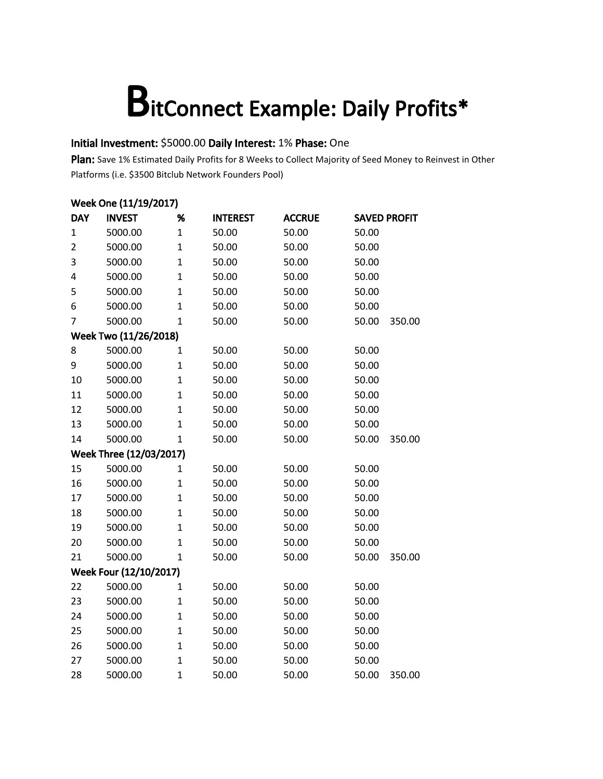### Initial Investment: \$5000.00 Daily Interest: 1% Phase: One

Plan: Save 1% Estimated Daily Profits for 8 Weeks to Collect Majority of Seed Money to Reinvest in Other Platforms (i.e. \$3500 Bitclub Network Founders Pool)

| Week One (11/19/2017) |                         |                |                 |               |       |                     |  |  |
|-----------------------|-------------------------|----------------|-----------------|---------------|-------|---------------------|--|--|
| <b>DAY</b>            | <b>INVEST</b>           | %              | <b>INTEREST</b> | <b>ACCRUE</b> |       | <b>SAVED PROFIT</b> |  |  |
| 1                     | 5000.00                 | $\mathbf{1}$   | 50.00           | 50.00         | 50.00 |                     |  |  |
| $\overline{2}$        | 5000.00                 | $\mathbf{1}$   | 50.00           | 50.00         | 50.00 |                     |  |  |
| 3                     | 5000.00                 | $\mathbf{1}$   | 50.00           | 50.00         | 50.00 |                     |  |  |
| 4                     | 5000.00                 | $\overline{1}$ | 50.00           | 50.00         | 50.00 |                     |  |  |
| 5                     | 5000.00                 | $\mathbf{1}$   | 50.00           | 50.00         | 50.00 |                     |  |  |
| 6                     | 5000.00                 | $\overline{1}$ | 50.00           | 50.00         | 50.00 |                     |  |  |
| 7                     | 5000.00                 | $\mathbf{1}$   | 50.00           | 50.00         | 50.00 | 350.00              |  |  |
|                       | Week Two (11/26/2018)   |                |                 |               |       |                     |  |  |
| 8                     | 5000.00                 | $\mathbf{1}$   | 50.00           | 50.00         | 50.00 |                     |  |  |
| 9                     | 5000.00                 | $\mathbf{1}$   | 50.00           | 50.00         | 50.00 |                     |  |  |
| 10                    | 5000.00                 | $\mathbf{1}$   | 50.00           | 50.00         | 50.00 |                     |  |  |
| 11                    | 5000.00                 | $\mathbf{1}$   | 50.00           | 50.00         | 50.00 |                     |  |  |
| 12                    | 5000.00                 | $\overline{1}$ | 50.00           | 50.00         | 50.00 |                     |  |  |
| 13                    | 5000.00                 | $\overline{1}$ | 50.00           | 50.00         | 50.00 |                     |  |  |
| 14                    | 5000.00                 | $\mathbf{1}$   | 50.00           | 50.00         | 50.00 | 350.00              |  |  |
|                       | Week Three (12/03/2017) |                |                 |               |       |                     |  |  |
| 15                    | 5000.00                 | $\mathbf{1}$   | 50.00           | 50.00         | 50.00 |                     |  |  |
| 16                    | 5000.00                 | $\overline{1}$ | 50.00           | 50.00         | 50.00 |                     |  |  |
| 17                    | 5000.00                 | $\mathbf{1}$   | 50.00           | 50.00         | 50.00 |                     |  |  |
| 18                    | 5000.00                 | $\overline{1}$ | 50.00           | 50.00         | 50.00 |                     |  |  |
| 19                    | 5000.00                 | $\mathbf{1}$   | 50.00           | 50.00         | 50.00 |                     |  |  |
| 20                    | 5000.00                 | $\mathbf{1}$   | 50.00           | 50.00         | 50.00 |                     |  |  |
| 21                    | 5000.00                 | $\mathbf{1}$   | 50.00           | 50.00         | 50.00 | 350.00              |  |  |
|                       | Week Four (12/10/2017)  |                |                 |               |       |                     |  |  |
| 22                    | 5000.00                 | $\mathbf{1}$   | 50.00           | 50.00         | 50.00 |                     |  |  |
| 23                    | 5000.00                 | $\overline{1}$ | 50.00           | 50.00         | 50.00 |                     |  |  |
| 24                    | 5000.00                 | $\mathbf{1}$   | 50.00           | 50.00         | 50.00 |                     |  |  |
| 25                    | 5000.00                 | $\mathbf{1}$   | 50.00           | 50.00         | 50.00 |                     |  |  |
| 26                    | 5000.00                 | $\mathbf{1}$   | 50.00           | 50.00         | 50.00 |                     |  |  |
| 27                    | 5000.00                 | $\mathbf{1}$   | 50.00           | 50.00         | 50.00 |                     |  |  |
| 28                    | 5000.00                 | $\overline{1}$ | 50.00           | 50.00         | 50.00 | 350.00              |  |  |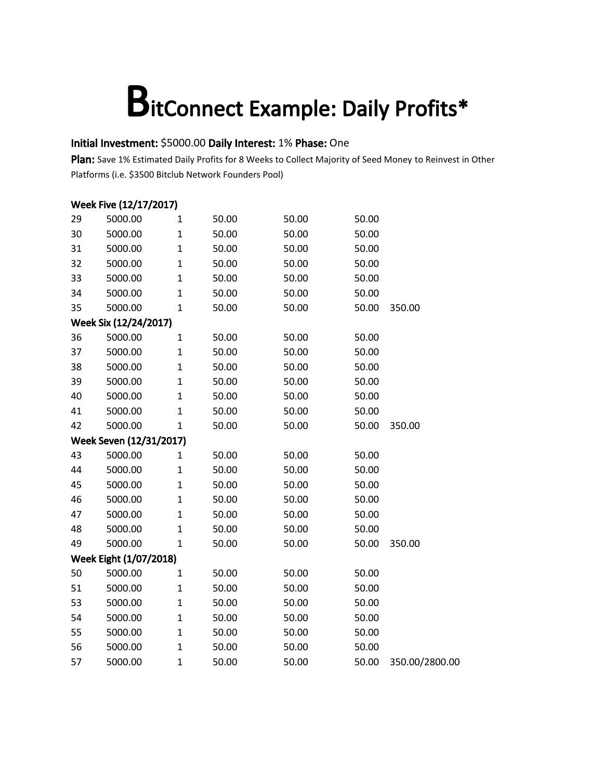### Initial Investment: \$5000.00 Daily Interest: 1% Phase: One

Plan: Save 1% Estimated Daily Profits for 8 Weeks to Collect Majority of Seed Money to Reinvest in Other Platforms (i.e. \$3500 Bitclub Network Founders Pool)

|    | Week Five (12/17/2017)  |              |       |       |       |                |
|----|-------------------------|--------------|-------|-------|-------|----------------|
| 29 | 5000.00                 | $\mathbf{1}$ | 50.00 | 50.00 | 50.00 |                |
| 30 | 5000.00                 | $\mathbf{1}$ | 50.00 | 50.00 | 50.00 |                |
| 31 | 5000.00                 | $\mathbf{1}$ | 50.00 | 50.00 | 50.00 |                |
| 32 | 5000.00                 | $\mathbf{1}$ | 50.00 | 50.00 | 50.00 |                |
| 33 | 5000.00                 | $\mathbf{1}$ | 50.00 | 50.00 | 50.00 |                |
| 34 | 5000.00                 | $\mathbf{1}$ | 50.00 | 50.00 | 50.00 |                |
| 35 | 5000.00                 | $\mathbf{1}$ | 50.00 | 50.00 | 50.00 | 350.00         |
|    | Week Six (12/24/2017)   |              |       |       |       |                |
| 36 | 5000.00                 | $\mathbf{1}$ | 50.00 | 50.00 | 50.00 |                |
| 37 | 5000.00                 | $\mathbf{1}$ | 50.00 | 50.00 | 50.00 |                |
| 38 | 5000.00                 | $\mathbf{1}$ | 50.00 | 50.00 | 50.00 |                |
| 39 | 5000.00                 | $\mathbf{1}$ | 50.00 | 50.00 | 50.00 |                |
| 40 | 5000.00                 | $\mathbf{1}$ | 50.00 | 50.00 | 50.00 |                |
| 41 | 5000.00                 | $\mathbf 1$  | 50.00 | 50.00 | 50.00 |                |
| 42 | 5000.00                 | $\mathbf{1}$ | 50.00 | 50.00 | 50.00 | 350.00         |
|    | Week Seven (12/31/2017) |              |       |       |       |                |
| 43 | 5000.00                 | 1            | 50.00 | 50.00 | 50.00 |                |
| 44 | 5000.00                 | $\mathbf{1}$ | 50.00 | 50.00 | 50.00 |                |
| 45 | 5000.00                 | $\mathbf{1}$ | 50.00 | 50.00 | 50.00 |                |
| 46 | 5000.00                 | $\mathbf{1}$ | 50.00 | 50.00 | 50.00 |                |
| 47 | 5000.00                 | $\mathbf{1}$ | 50.00 | 50.00 | 50.00 |                |
| 48 | 5000.00                 | $\mathbf{1}$ | 50.00 | 50.00 | 50.00 |                |
| 49 | 5000.00                 | $\mathbf{1}$ | 50.00 | 50.00 | 50.00 | 350.00         |
|    | Week Eight (1/07/2018)  |              |       |       |       |                |
| 50 | 5000.00                 | $\mathbf{1}$ | 50.00 | 50.00 | 50.00 |                |
| 51 | 5000.00                 | $\mathbf{1}$ | 50.00 | 50.00 | 50.00 |                |
| 53 | 5000.00                 | $\mathbf{1}$ | 50.00 | 50.00 | 50.00 |                |
| 54 | 5000.00                 | $\mathbf{1}$ | 50.00 | 50.00 | 50.00 |                |
| 55 | 5000.00                 | $\mathbf{1}$ | 50.00 | 50.00 | 50.00 |                |
| 56 | 5000.00                 | $\mathbf{1}$ | 50.00 | 50.00 | 50.00 |                |
| 57 | 5000.00                 | $\mathbf{1}$ | 50.00 | 50.00 | 50.00 | 350.00/2800.00 |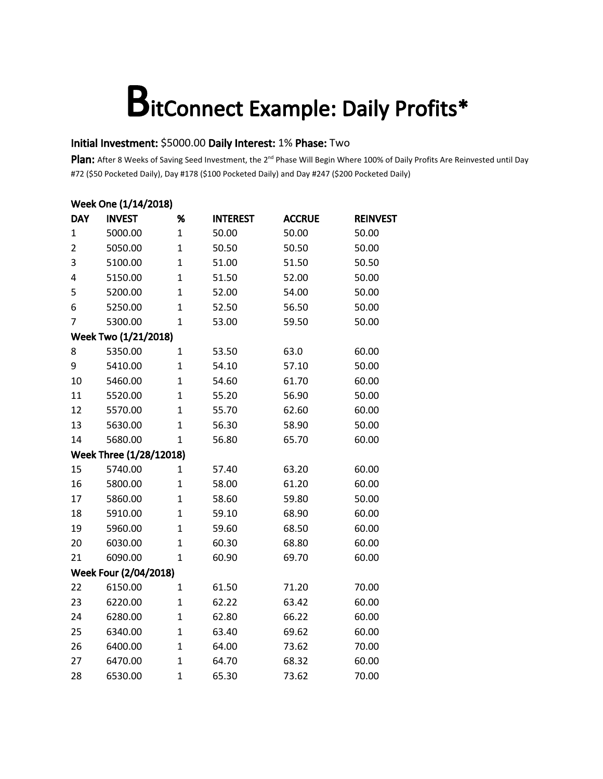### Initial Investment: \$5000.00 Daily Interest: 1% Phase: Two

|                | Week One (1/14/2018)    |                |                 |               |                 |  |  |  |  |  |
|----------------|-------------------------|----------------|-----------------|---------------|-----------------|--|--|--|--|--|
| <b>DAY</b>     | <b>INVEST</b>           | %              | <b>INTEREST</b> | <b>ACCRUE</b> | <b>REINVEST</b> |  |  |  |  |  |
| 1              | 5000.00                 | $\mathbf{1}$   | 50.00           | 50.00         | 50.00           |  |  |  |  |  |
| $\overline{2}$ | 5050.00                 | $\mathbf{1}$   | 50.50           | 50.50         | 50.00           |  |  |  |  |  |
| 3              | 5100.00                 | $\overline{1}$ | 51.00           | 51.50         | 50.50           |  |  |  |  |  |
| 4              | 5150.00                 | $\mathbf{1}$   | 51.50           | 52.00         | 50.00           |  |  |  |  |  |
| 5              | 5200.00                 | $\mathbf{1}$   | 52.00           | 54.00         | 50.00           |  |  |  |  |  |
| 6              | 5250.00                 | $\overline{1}$ | 52.50           | 56.50         | 50.00           |  |  |  |  |  |
| 7              | 5300.00                 | $\mathbf{1}$   | 53.00           | 59.50         | 50.00           |  |  |  |  |  |
|                | Week Two (1/21/2018)    |                |                 |               |                 |  |  |  |  |  |
| 8              | 5350.00                 | $\mathbf{1}$   | 53.50           | 63.0          | 60.00           |  |  |  |  |  |
| 9              | 5410.00                 | $\mathbf{1}$   | 54.10           | 57.10         | 50.00           |  |  |  |  |  |
| 10             | 5460.00                 | $\overline{1}$ | 54.60           | 61.70         | 60.00           |  |  |  |  |  |
| 11             | 5520.00                 | $\overline{1}$ | 55.20           | 56.90         | 50.00           |  |  |  |  |  |
| 12             | 5570.00                 | $\overline{1}$ | 55.70           | 62.60         | 60.00           |  |  |  |  |  |
| 13             | 5630.00                 | $\mathbf{1}$   | 56.30           | 58.90         | 50.00           |  |  |  |  |  |
| 14             | 5680.00                 | $\mathbf{1}$   | 56.80           | 65.70         | 60.00           |  |  |  |  |  |
|                | Week Three (1/28/12018) |                |                 |               |                 |  |  |  |  |  |
| 15             | 5740.00                 | $\mathbf{1}$   | 57.40           | 63.20         | 60.00           |  |  |  |  |  |
| 16             | 5800.00                 | $\mathbf{1}$   | 58.00           | 61.20         | 60.00           |  |  |  |  |  |
| 17             | 5860.00                 | $\overline{1}$ | 58.60           | 59.80         | 50.00           |  |  |  |  |  |
| 18             | 5910.00                 | $\overline{1}$ | 59.10           | 68.90         | 60.00           |  |  |  |  |  |
| 19             | 5960.00                 | $\mathbf{1}$   | 59.60           | 68.50         | 60.00           |  |  |  |  |  |
| 20             | 6030.00                 | 1              | 60.30           | 68.80         | 60.00           |  |  |  |  |  |
| 21             | 6090.00                 | $\mathbf{1}$   | 60.90           | 69.70         | 60.00           |  |  |  |  |  |
|                | Week Four (2/04/2018)   |                |                 |               |                 |  |  |  |  |  |
| 22             | 6150.00                 | 1              | 61.50           | 71.20         | 70.00           |  |  |  |  |  |
| 23             | 6220.00                 | $\overline{1}$ | 62.22           | 63.42         | 60.00           |  |  |  |  |  |
| 24             | 6280.00                 | $\overline{1}$ | 62.80           | 66.22         | 60.00           |  |  |  |  |  |
| 25             | 6340.00                 | $\mathbf{1}$   | 63.40           | 69.62         | 60.00           |  |  |  |  |  |
| 26             | 6400.00                 | $\mathbf{1}$   | 64.00           | 73.62         | 70.00           |  |  |  |  |  |
| 27             | 6470.00                 | $\mathbf{1}$   | 64.70           | 68.32         | 60.00           |  |  |  |  |  |
| 28             | 6530.00                 | $\overline{1}$ | 65.30           | 73.62         | 70.00           |  |  |  |  |  |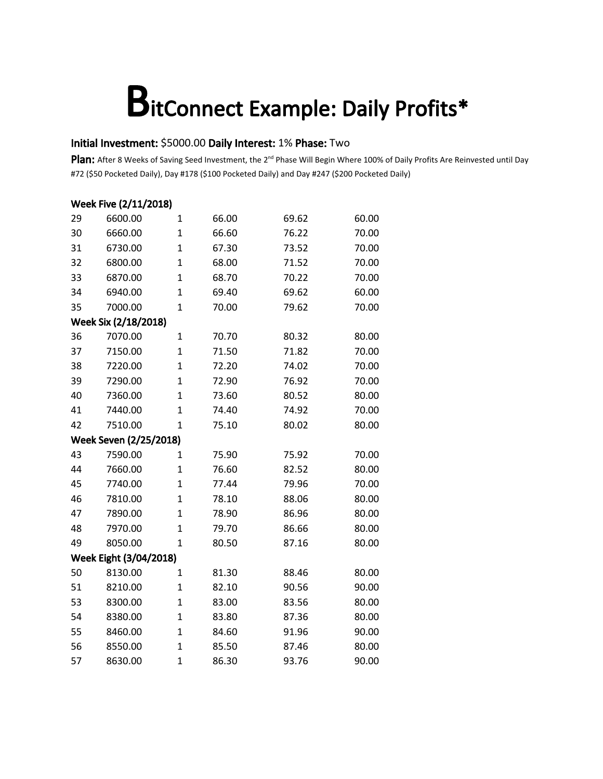#### Initial Investment: \$5000.00 Daily Interest: 1% Phase: Two

|    | Week Five (2/11/2018)  |                |       |       |       |
|----|------------------------|----------------|-------|-------|-------|
| 29 | 6600.00                | 1              | 66.00 | 69.62 | 60.00 |
| 30 | 6660.00                | $\mathbf{1}$   | 66.60 | 76.22 | 70.00 |
| 31 | 6730.00                | 1              | 67.30 | 73.52 | 70.00 |
| 32 | 6800.00                | $\overline{1}$ | 68.00 | 71.52 | 70.00 |
| 33 | 6870.00                | $\mathbf{1}$   | 68.70 | 70.22 | 70.00 |
| 34 | 6940.00                | $\mathbf{1}$   | 69.40 | 69.62 | 60.00 |
| 35 | 7000.00                | $\overline{1}$ | 70.00 | 79.62 | 70.00 |
|    | Week Six (2/18/2018)   |                |       |       |       |
| 36 | 7070.00                | $\mathbf{1}$   | 70.70 | 80.32 | 80.00 |
| 37 | 7150.00                | $\overline{1}$ | 71.50 | 71.82 | 70.00 |
| 38 | 7220.00                | $\overline{1}$ | 72.20 | 74.02 | 70.00 |
| 39 | 7290.00                | $\mathbf{1}$   | 72.90 | 76.92 | 70.00 |
| 40 | 7360.00                | $\overline{1}$ | 73.60 | 80.52 | 80.00 |
| 41 | 7440.00                | $\mathbf{1}$   | 74.40 | 74.92 | 70.00 |
| 42 | 7510.00                | $\mathbf{1}$   | 75.10 | 80.02 | 80.00 |
|    | Week Seven (2/25/2018) |                |       |       |       |
| 43 | 7590.00                | 1              | 75.90 | 75.92 | 70.00 |
| 44 | 7660.00                | 1              | 76.60 | 82.52 | 80.00 |
| 45 | 7740.00                | $\overline{1}$ | 77.44 | 79.96 | 70.00 |
| 46 | 7810.00                | $\mathbf{1}$   | 78.10 | 88.06 | 80.00 |
| 47 | 7890.00                | $\overline{1}$ | 78.90 | 86.96 | 80.00 |
| 48 | 7970.00                | $\mathbf{1}$   | 79.70 | 86.66 | 80.00 |
| 49 | 8050.00                | $\mathbf{1}$   | 80.50 | 87.16 | 80.00 |
|    | Week Eight (3/04/2018) |                |       |       |       |
| 50 | 8130.00                | 1              | 81.30 | 88.46 | 80.00 |
| 51 | 8210.00                | $\mathbf{1}$   | 82.10 | 90.56 | 90.00 |
| 53 | 8300.00                | $\mathbf{1}$   | 83.00 | 83.56 | 80.00 |
| 54 | 8380.00                | $\overline{1}$ | 83.80 | 87.36 | 80.00 |
| 55 | 8460.00                | $\mathbf{1}$   | 84.60 | 91.96 | 90.00 |
| 56 | 8550.00                | $\mathbf{1}$   | 85.50 | 87.46 | 80.00 |
| 57 | 8630.00                | $\mathbf{1}$   | 86.30 | 93.76 | 90.00 |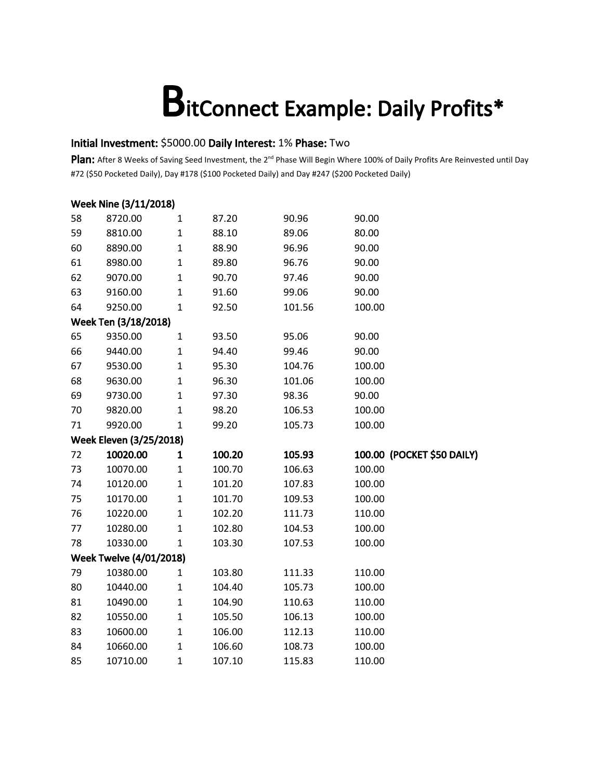#### Initial Investment: \$5000.00 Daily Interest: 1% Phase: Two

|    | Week Nine (3/11/2018)          |              |        |        |        |                            |
|----|--------------------------------|--------------|--------|--------|--------|----------------------------|
| 58 | 8720.00                        | 1            | 87.20  | 90.96  | 90.00  |                            |
| 59 | 8810.00                        | $\mathbf 1$  | 88.10  | 89.06  | 80.00  |                            |
| 60 | 8890.00                        | $\mathbf 1$  | 88.90  | 96.96  | 90.00  |                            |
| 61 | 8980.00                        | $\mathbf 1$  | 89.80  | 96.76  | 90.00  |                            |
| 62 | 9070.00                        | $\mathbf 1$  | 90.70  | 97.46  | 90.00  |                            |
| 63 | 9160.00                        | $\mathbf 1$  | 91.60  | 99.06  | 90.00  |                            |
| 64 | 9250.00                        | $\mathbf 1$  | 92.50  | 101.56 | 100.00 |                            |
|    | Week Ten (3/18/2018)           |              |        |        |        |                            |
| 65 | 9350.00                        | $\mathbf{1}$ | 93.50  | 95.06  | 90.00  |                            |
| 66 | 9440.00                        | 1            | 94.40  | 99.46  | 90.00  |                            |
| 67 | 9530.00                        | $\mathbf 1$  | 95.30  | 104.76 | 100.00 |                            |
| 68 | 9630.00                        | $\mathbf 1$  | 96.30  | 101.06 | 100.00 |                            |
| 69 | 9730.00                        | $\mathbf{1}$ | 97.30  | 98.36  | 90.00  |                            |
| 70 | 9820.00                        | $\mathbf 1$  | 98.20  | 106.53 | 100.00 |                            |
| 71 | 9920.00                        | $\mathbf{1}$ | 99.20  | 105.73 | 100.00 |                            |
|    | <b>Week Eleven (3/25/2018)</b> |              |        |        |        |                            |
| 72 | 10020.00                       | 1            | 100.20 | 105.93 |        | 100.00 (POCKET \$50 DAILY) |
| 73 | 10070.00                       | 1            | 100.70 | 106.63 | 100.00 |                            |
| 74 | 10120.00                       | 1            | 101.20 | 107.83 | 100.00 |                            |
| 75 | 10170.00                       | $\mathbf 1$  | 101.70 | 109.53 | 100.00 |                            |
| 76 | 10220.00                       | $\mathbf 1$  | 102.20 | 111.73 | 110.00 |                            |
| 77 | 10280.00                       | $\mathbf 1$  | 102.80 | 104.53 | 100.00 |                            |
| 78 | 10330.00                       | $\mathbf 1$  | 103.30 | 107.53 | 100.00 |                            |
|    | <b>Week Twelve (4/01/2018)</b> |              |        |        |        |                            |
| 79 | 10380.00                       | $\mathbf 1$  | 103.80 | 111.33 | 110.00 |                            |
| 80 | 10440.00                       | 1            | 104.40 | 105.73 | 100.00 |                            |
| 81 | 10490.00                       | $\mathbf 1$  | 104.90 | 110.63 | 110.00 |                            |
| 82 | 10550.00                       | 1            | 105.50 | 106.13 | 100.00 |                            |
| 83 | 10600.00                       | 1            | 106.00 | 112.13 | 110.00 |                            |
| 84 | 10660.00                       | $\mathbf 1$  | 106.60 | 108.73 | 100.00 |                            |
| 85 | 10710.00                       | $\mathbf{1}$ | 107.10 | 115.83 | 110.00 |                            |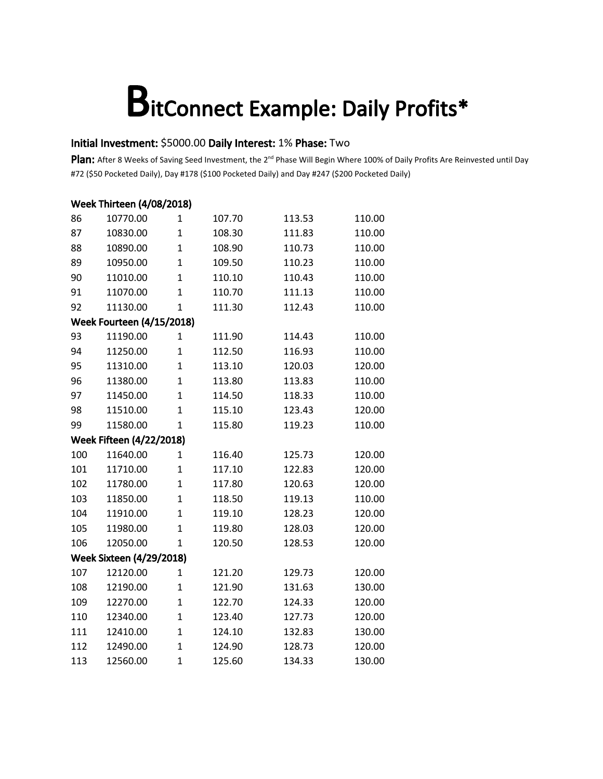### Initial Investment: \$5000.00 Daily Interest: 1% Phase: Two

|     | <b>Week Thirteen (4/08/2018)</b> |                |        |        |        |  |  |  |  |
|-----|----------------------------------|----------------|--------|--------|--------|--|--|--|--|
| 86  | 10770.00                         | 1              | 107.70 | 113.53 | 110.00 |  |  |  |  |
| 87  | 10830.00                         | $\mathbf{1}$   | 108.30 | 111.83 | 110.00 |  |  |  |  |
| 88  | 10890.00                         | $\mathbf{1}$   | 108.90 | 110.73 | 110.00 |  |  |  |  |
| 89  | 10950.00                         | $\overline{1}$ | 109.50 | 110.23 | 110.00 |  |  |  |  |
| 90  | 11010.00                         | $\mathbf{1}$   | 110.10 | 110.43 | 110.00 |  |  |  |  |
| 91  | 11070.00                         | $\mathbf{1}$   | 110.70 | 111.13 | 110.00 |  |  |  |  |
| 92  | 11130.00                         | $\overline{1}$ | 111.30 | 112.43 | 110.00 |  |  |  |  |
|     | <b>Week Fourteen (4/15/2018)</b> |                |        |        |        |  |  |  |  |
| 93  | 11190.00                         | $\mathbf{1}$   | 111.90 | 114.43 | 110.00 |  |  |  |  |
| 94  | 11250.00                         | $\mathbf{1}$   | 112.50 | 116.93 | 110.00 |  |  |  |  |
| 95  | 11310.00                         | $\overline{1}$ | 113.10 | 120.03 | 120.00 |  |  |  |  |
| 96  | 11380.00                         | $\mathbf{1}$   | 113.80 | 113.83 | 110.00 |  |  |  |  |
| 97  | 11450.00                         | $\overline{1}$ | 114.50 | 118.33 | 110.00 |  |  |  |  |
| 98  | 11510.00                         | $\mathbf{1}$   | 115.10 | 123.43 | 120.00 |  |  |  |  |
| 99  | 11580.00                         | $\mathbf{1}$   | 115.80 | 119.23 | 110.00 |  |  |  |  |
|     | <b>Week Fifteen (4/22/2018)</b>  |                |        |        |        |  |  |  |  |
| 100 | 11640.00                         | 1              | 116.40 | 125.73 | 120.00 |  |  |  |  |
| 101 | 11710.00                         | $\mathbf{1}$   | 117.10 | 122.83 | 120.00 |  |  |  |  |
| 102 | 11780.00                         | $\mathbf{1}$   | 117.80 | 120.63 | 120.00 |  |  |  |  |
| 103 | 11850.00                         | $\mathbf{1}$   | 118.50 | 119.13 | 110.00 |  |  |  |  |
| 104 | 11910.00                         | $\mathbf{1}$   | 119.10 | 128.23 | 120.00 |  |  |  |  |
| 105 | 11980.00                         | $\overline{1}$ | 119.80 | 128.03 | 120.00 |  |  |  |  |
| 106 | 12050.00                         | $\mathbf{1}$   | 120.50 | 128.53 | 120.00 |  |  |  |  |
|     | <b>Week Sixteen (4/29/2018)</b>  |                |        |        |        |  |  |  |  |
| 107 | 12120.00                         | $\mathbf{1}$   | 121.20 | 129.73 | 120.00 |  |  |  |  |
| 108 | 12190.00                         | $\overline{1}$ | 121.90 | 131.63 | 130.00 |  |  |  |  |
| 109 | 12270.00                         | $\overline{1}$ | 122.70 | 124.33 | 120.00 |  |  |  |  |
| 110 | 12340.00                         | $\overline{1}$ | 123.40 | 127.73 | 120.00 |  |  |  |  |
| 111 | 12410.00                         | $\mathbf{1}$   | 124.10 | 132.83 | 130.00 |  |  |  |  |
| 112 | 12490.00                         | $\overline{1}$ | 124.90 | 128.73 | 120.00 |  |  |  |  |
| 113 | 12560.00                         | $\mathbf{1}$   | 125.60 | 134.33 | 130.00 |  |  |  |  |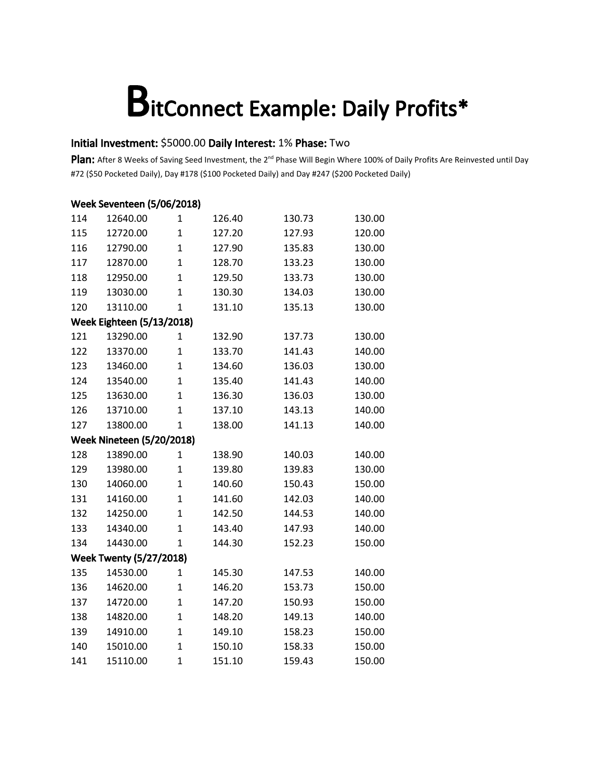### Initial Investment: \$5000.00 Daily Interest: 1% Phase: Two

| Week Seventeen (5/06/2018) |                                  |                |        |        |        |  |  |  |
|----------------------------|----------------------------------|----------------|--------|--------|--------|--|--|--|
| 114                        | 12640.00                         | 1              | 126.40 | 130.73 | 130.00 |  |  |  |
| 115                        | 12720.00                         | $\mathbf{1}$   | 127.20 | 127.93 | 120.00 |  |  |  |
| 116                        | 12790.00                         | $\overline{1}$ | 127.90 | 135.83 | 130.00 |  |  |  |
| 117                        | 12870.00                         | $\overline{1}$ | 128.70 | 133.23 | 130.00 |  |  |  |
| 118                        | 12950.00                         | $\overline{1}$ | 129.50 | 133.73 | 130.00 |  |  |  |
| 119                        | 13030.00                         | $\mathbf{1}$   | 130.30 | 134.03 | 130.00 |  |  |  |
| 120                        | 13110.00                         | $\mathbf{1}$   | 131.10 | 135.13 | 130.00 |  |  |  |
|                            | <b>Week Eighteen (5/13/2018)</b> |                |        |        |        |  |  |  |
| 121                        | 13290.00                         | 1              | 132.90 | 137.73 | 130.00 |  |  |  |
| 122                        | 13370.00                         | $\mathbf{1}$   | 133.70 | 141.43 | 140.00 |  |  |  |
| 123                        | 13460.00                         | $\overline{1}$ | 134.60 | 136.03 | 130.00 |  |  |  |
| 124                        | 13540.00                         | $\overline{1}$ | 135.40 | 141.43 | 140.00 |  |  |  |
| 125                        | 13630.00                         | $\overline{1}$ | 136.30 | 136.03 | 130.00 |  |  |  |
| 126                        | 13710.00                         | $\mathbf{1}$   | 137.10 | 143.13 | 140.00 |  |  |  |
| 127                        | 13800.00                         | $\overline{1}$ | 138.00 | 141.13 | 140.00 |  |  |  |
|                            | <b>Week Nineteen (5/20/2018)</b> |                |        |        |        |  |  |  |
| 128                        | 13890.00                         | 1              | 138.90 | 140.03 | 140.00 |  |  |  |
| 129                        | 13980.00                         | $\mathbf{1}$   | 139.80 | 139.83 | 130.00 |  |  |  |
| 130                        | 14060.00                         | $\overline{1}$ | 140.60 | 150.43 | 150.00 |  |  |  |
| 131                        | 14160.00                         | $\mathbf{1}$   | 141.60 | 142.03 | 140.00 |  |  |  |
| 132                        | 14250.00                         | $\overline{1}$ | 142.50 | 144.53 | 140.00 |  |  |  |
| 133                        | 14340.00                         | $\overline{1}$ | 143.40 | 147.93 | 140.00 |  |  |  |
| 134                        | 14430.00                         | $\mathbf{1}$   | 144.30 | 152.23 | 150.00 |  |  |  |
|                            | <b>Week Twenty (5/27/2018)</b>   |                |        |        |        |  |  |  |
| 135                        | 14530.00                         | $\mathbf{1}$   | 145.30 | 147.53 | 140.00 |  |  |  |
| 136                        | 14620.00                         | $\mathbf{1}$   | 146.20 | 153.73 | 150.00 |  |  |  |
| 137                        | 14720.00                         | $\mathbf{1}$   | 147.20 | 150.93 | 150.00 |  |  |  |
| 138                        | 14820.00                         | $\overline{1}$ | 148.20 | 149.13 | 140.00 |  |  |  |
| 139                        | 14910.00                         | $\mathbf{1}$   | 149.10 | 158.23 | 150.00 |  |  |  |
| 140                        | 15010.00                         | $\overline{1}$ | 150.10 | 158.33 | 150.00 |  |  |  |
| 141                        | 15110.00                         | $\overline{1}$ | 151.10 | 159.43 | 150.00 |  |  |  |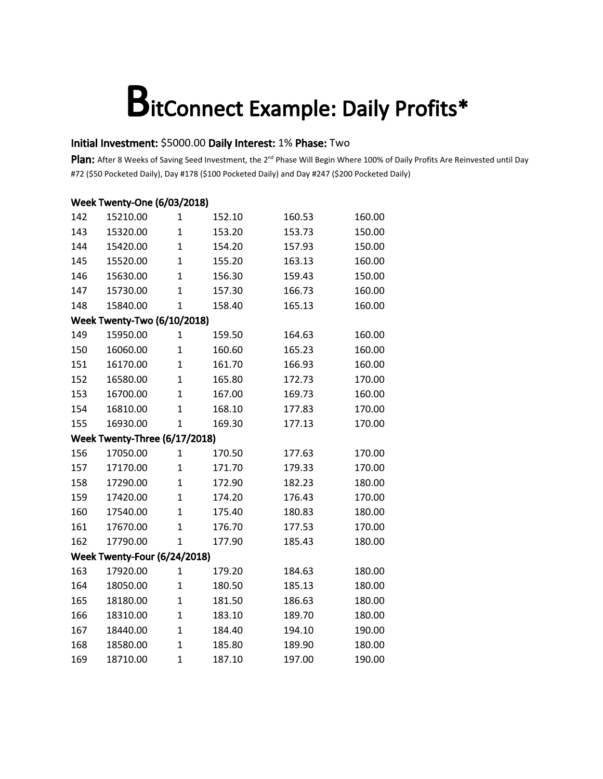### Initial Investment: \$5000.00 Daily Interest: 1% Phase: Two

|     | Week Twenty-One (6/03/2018)        |                |        |        |        |  |  |  |  |
|-----|------------------------------------|----------------|--------|--------|--------|--|--|--|--|
| 142 | 15210.00                           | 1              | 152.10 | 160.53 | 160.00 |  |  |  |  |
| 143 | 15320.00                           | $\mathbf{1}$   | 153.20 | 153.73 | 150.00 |  |  |  |  |
| 144 | 15420.00                           | $\mathbf{1}$   | 154.20 | 157.93 | 150.00 |  |  |  |  |
| 145 | 15520.00                           | $\mathbf{1}$   | 155.20 | 163.13 | 160.00 |  |  |  |  |
| 146 | 15630.00                           | $\mathbf{1}$   | 156.30 | 159.43 | 150.00 |  |  |  |  |
| 147 | 15730.00                           | $\overline{1}$ | 157.30 | 166.73 | 160.00 |  |  |  |  |
| 148 | 15840.00                           | $\overline{1}$ | 158.40 | 165.13 | 160.00 |  |  |  |  |
|     | <b>Week Twenty-Two (6/10/2018)</b> |                |        |        |        |  |  |  |  |
| 149 | 15950.00                           | $\mathbf{1}$   | 159.50 | 164.63 | 160.00 |  |  |  |  |
| 150 | 16060.00                           | $\overline{1}$ | 160.60 | 165.23 | 160.00 |  |  |  |  |
| 151 | 16170.00                           | $\overline{1}$ | 161.70 | 166.93 | 160.00 |  |  |  |  |
| 152 | 16580.00                           | $\mathbf{1}$   | 165.80 | 172.73 | 170.00 |  |  |  |  |
| 153 | 16700.00                           | $\overline{1}$ | 167.00 | 169.73 | 160.00 |  |  |  |  |
| 154 | 16810.00                           | $\overline{1}$ | 168.10 | 177.83 | 170.00 |  |  |  |  |
| 155 | 16930.00                           | $\overline{1}$ | 169.30 | 177.13 | 170.00 |  |  |  |  |
|     | Week Twenty-Three (6/17/2018)      |                |        |        |        |  |  |  |  |
| 156 | 17050.00                           | 1              | 170.50 | 177.63 | 170.00 |  |  |  |  |
| 157 | 17170.00                           | $\mathbf{1}$   | 171.70 | 179.33 | 170.00 |  |  |  |  |
| 158 | 17290.00                           | $\overline{1}$ | 172.90 | 182.23 | 180.00 |  |  |  |  |
| 159 | 17420.00                           | $\overline{1}$ | 174.20 | 176.43 | 170.00 |  |  |  |  |
| 160 | 17540.00                           | $\overline{1}$ | 175.40 | 180.83 | 180.00 |  |  |  |  |
| 161 | 17670.00                           | $\overline{1}$ | 176.70 | 177.53 | 170.00 |  |  |  |  |
| 162 | 17790.00                           | $\overline{1}$ | 177.90 | 185.43 | 180.00 |  |  |  |  |
|     | Week Twenty-Four (6/24/2018)       |                |        |        |        |  |  |  |  |
| 163 | 17920.00                           | $\mathbf{1}$   | 179.20 | 184.63 | 180.00 |  |  |  |  |
| 164 | 18050.00                           | $\mathbf{1}$   | 180.50 | 185.13 | 180.00 |  |  |  |  |
| 165 | 18180.00                           | $\overline{1}$ | 181.50 | 186.63 | 180.00 |  |  |  |  |
| 166 | 18310.00                           | $\mathbf{1}$   | 183.10 | 189.70 | 180.00 |  |  |  |  |
| 167 | 18440.00                           | $\mathbf{1}$   | 184.40 | 194.10 | 190.00 |  |  |  |  |
| 168 | 18580.00                           | $\overline{1}$ | 185.80 | 189.90 | 180.00 |  |  |  |  |
| 169 | 18710.00                           | $\overline{1}$ | 187.10 | 197.00 | 190.00 |  |  |  |  |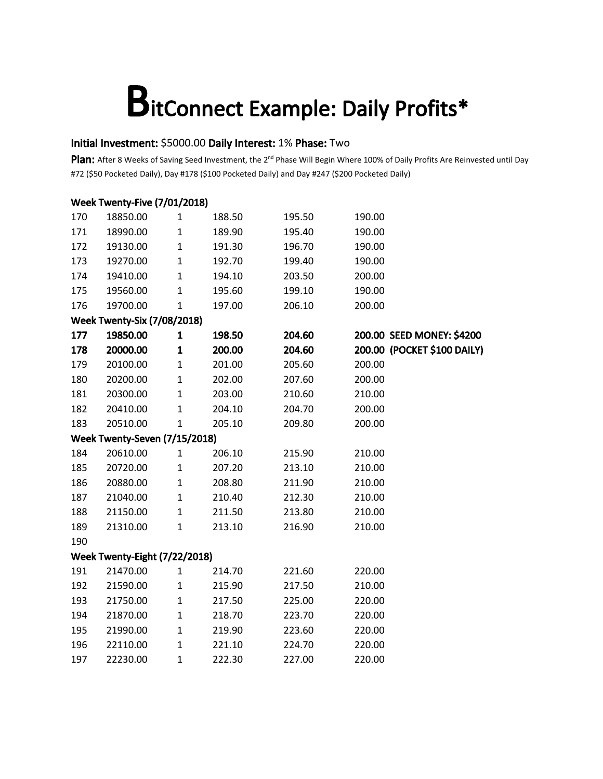### Initial Investment: \$5000.00 Daily Interest: 1% Phase: Two

|     | <b>Week Twenty-Five (7/01/2018)</b> |              |        |        |                             |
|-----|-------------------------------------|--------------|--------|--------|-----------------------------|
| 170 | 18850.00                            | $\mathbf{1}$ | 188.50 | 195.50 | 190.00                      |
| 171 | 18990.00                            | $\mathbf 1$  | 189.90 | 195.40 | 190.00                      |
| 172 | 19130.00                            | $\mathbf 1$  | 191.30 | 196.70 | 190.00                      |
| 173 | 19270.00                            | $\mathbf{1}$ | 192.70 | 199.40 | 190.00                      |
| 174 | 19410.00                            | $\mathbf 1$  | 194.10 | 203.50 | 200.00                      |
| 175 | 19560.00                            | $\mathbf 1$  | 195.60 | 199.10 | 190.00                      |
| 176 | 19700.00                            | $\mathbf{1}$ | 197.00 | 206.10 | 200.00                      |
|     | <b>Week Twenty-Six (7/08/2018)</b>  |              |        |        |                             |
| 177 | 19850.00                            | $\mathbf 1$  | 198.50 | 204.60 | 200.00 SEED MONEY: \$4200   |
| 178 | 20000.00                            | $\mathbf{1}$ | 200.00 | 204.60 | 200.00 (POCKET \$100 DAILY) |
| 179 | 20100.00                            | $\mathbf 1$  | 201.00 | 205.60 | 200.00                      |
| 180 | 20200.00                            | $\mathbf 1$  | 202.00 | 207.60 | 200.00                      |
| 181 | 20300.00                            | $\mathbf 1$  | 203.00 | 210.60 | 210.00                      |
| 182 | 20410.00                            | $\mathbf{1}$ | 204.10 | 204.70 | 200.00                      |
| 183 | 20510.00                            | $\mathbf{1}$ | 205.10 | 209.80 | 200.00                      |
|     | Week Twenty-Seven (7/15/2018)       |              |        |        |                             |
| 184 | 20610.00                            | $\mathbf{1}$ | 206.10 | 215.90 | 210.00                      |
| 185 | 20720.00                            | $\mathbf 1$  | 207.20 | 213.10 | 210.00                      |
| 186 | 20880.00                            | $\mathbf 1$  | 208.80 | 211.90 | 210.00                      |
| 187 | 21040.00                            | $\mathbf 1$  | 210.40 | 212.30 | 210.00                      |
| 188 | 21150.00                            | $\mathbf 1$  | 211.50 | 213.80 | 210.00                      |
| 189 | 21310.00                            | $\mathbf 1$  | 213.10 | 216.90 | 210.00                      |
| 190 |                                     |              |        |        |                             |
|     | Week Twenty-Eight (7/22/2018)       |              |        |        |                             |
| 191 | 21470.00                            | $\mathbf{1}$ | 214.70 | 221.60 | 220.00                      |
| 192 | 21590.00                            | $\mathbf 1$  | 215.90 | 217.50 | 210.00                      |
| 193 | 21750.00                            | $\mathbf 1$  | 217.50 | 225.00 | 220.00                      |
| 194 | 21870.00                            | $\mathbf 1$  | 218.70 | 223.70 | 220.00                      |
| 195 | 21990.00                            | $\mathbf 1$  | 219.90 | 223.60 | 220.00                      |
| 196 | 22110.00                            | $\mathbf 1$  | 221.10 | 224.70 | 220.00                      |
| 197 | 22230.00                            | $\mathbf{1}$ | 222.30 | 227.00 | 220.00                      |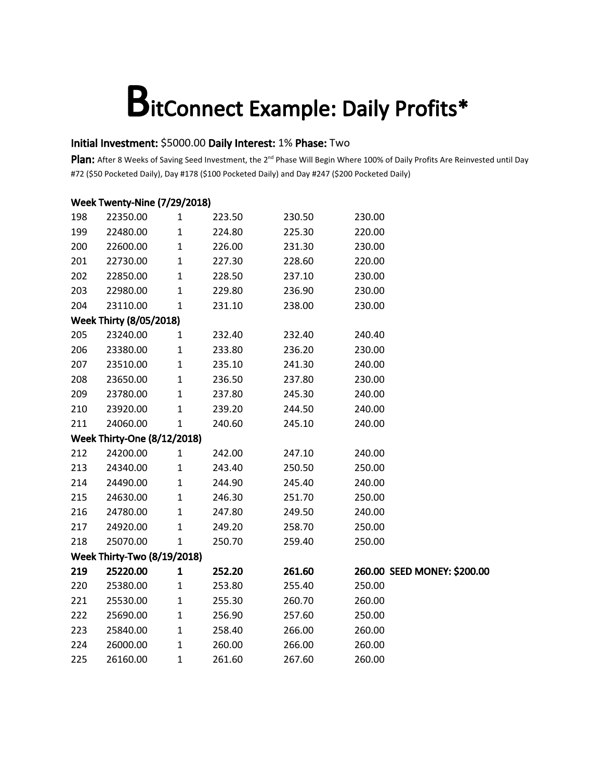### Initial Investment: \$5000.00 Daily Interest: 1% Phase: Two

|                                 | <b>Week Twenty-Nine (7/29/2018)</b> |              |        |        |                             |
|---------------------------------|-------------------------------------|--------------|--------|--------|-----------------------------|
| 198                             | 22350.00                            | $\mathbf{1}$ | 223.50 | 230.50 | 230.00                      |
| 199                             | 22480.00                            | $\mathbf 1$  | 224.80 | 225.30 | 220.00                      |
| 200                             | 22600.00                            | $\mathbf{1}$ | 226.00 | 231.30 | 230.00                      |
| 201                             | 22730.00                            | $\mathbf 1$  | 227.30 | 228.60 | 220.00                      |
| 202                             | 22850.00                            | $\mathbf 1$  | 228.50 | 237.10 | 230.00                      |
| 203                             | 22980.00                            | $\mathbf 1$  | 229.80 | 236.90 | 230.00                      |
| 204                             | 23110.00                            | $\mathbf 1$  | 231.10 | 238.00 | 230.00                      |
|                                 | <b>Week Thirty (8/05/2018)</b>      |              |        |        |                             |
| 205                             | 23240.00                            | 1            | 232.40 | 232.40 | 240.40                      |
| 206                             | 23380.00                            | $\mathbf 1$  | 233.80 | 236.20 | 230.00                      |
| 207                             | 23510.00                            | $\mathbf{1}$ | 235.10 | 241.30 | 240.00                      |
| 208                             | 23650.00                            | $\mathbf 1$  | 236.50 | 237.80 | 230.00                      |
| 209                             | 23780.00                            | $\mathbf{1}$ | 237.80 | 245.30 | 240.00                      |
| 210                             | 23920.00                            | $\mathbf{1}$ | 239.20 | 244.50 | 240.00                      |
| 211<br>24060.00<br>$\mathbf{1}$ |                                     | 240.60       | 245.10 | 240.00 |                             |
|                                 | <b>Week Thirty-One (8/12/2018)</b>  |              |        |        |                             |
| 212                             | 24200.00                            | $\mathbf{1}$ | 242.00 | 247.10 | 240.00                      |
| 213                             | 24340.00                            | $\mathbf 1$  | 243.40 | 250.50 | 250.00                      |
| 214                             | 24490.00                            | $\mathbf{1}$ | 244.90 | 245.40 | 240.00                      |
| 215                             | 24630.00                            | $\mathbf 1$  | 246.30 | 251.70 | 250.00                      |
| 216                             | 24780.00                            | $\mathbf{1}$ | 247.80 | 249.50 | 240.00                      |
| 217                             | 24920.00                            | $\mathbf 1$  | 249.20 | 258.70 | 250.00                      |
| 218                             | 25070.00                            | $\mathbf 1$  | 250.70 | 259.40 | 250.00                      |
|                                 | <b>Week Thirty-Two (8/19/2018)</b>  |              |        |        |                             |
| 219                             | 25220.00                            | $\mathbf{1}$ | 252.20 | 261.60 | 260.00 SEED MONEY: \$200.00 |
| 220                             | 25380.00                            | $\mathbf{1}$ | 253.80 | 255.40 | 250.00                      |
| 221                             | 25530.00                            | $\mathbf 1$  | 255.30 | 260.70 | 260.00                      |
| 222                             | 25690.00                            | $\mathbf 1$  | 256.90 | 257.60 | 250.00                      |
| 223                             | 25840.00                            | $\mathbf 1$  | 258.40 | 266.00 | 260.00                      |
| 224                             | 26000.00                            | $\mathbf 1$  | 260.00 | 266.00 | 260.00                      |
| 225                             | 26160.00                            | $\mathbf{1}$ | 261.60 | 267.60 | 260.00                      |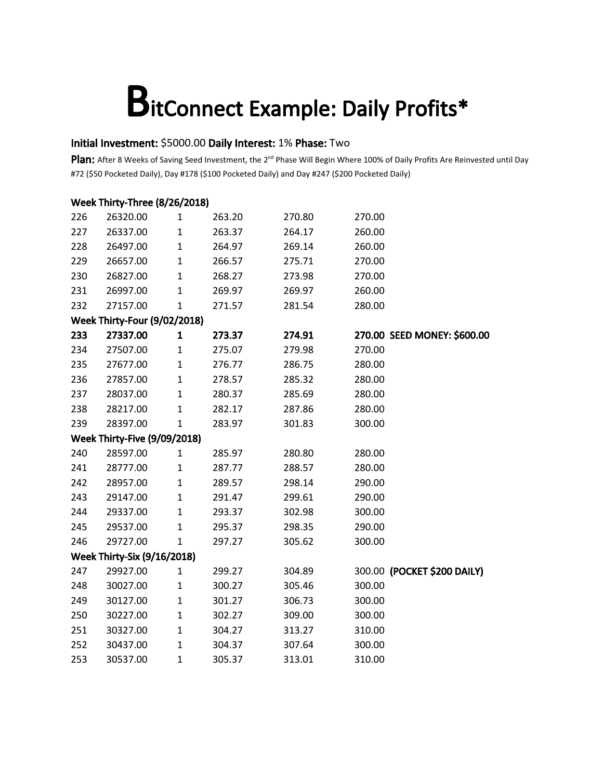### Initial Investment: \$5000.00 Daily Interest: 1% Phase: Two

|     | Week Thirty-Three (8/26/2018)       |              |        |        |                             |
|-----|-------------------------------------|--------------|--------|--------|-----------------------------|
| 226 | 26320.00                            | 1            | 263.20 | 270.80 | 270.00                      |
| 227 | 26337.00                            | $\mathbf 1$  | 263.37 | 264.17 | 260.00                      |
| 228 | 26497.00                            | $\mathbf{1}$ | 264.97 | 269.14 | 260.00                      |
| 229 | 26657.00                            | $\mathbf{1}$ | 266.57 | 275.71 | 270.00                      |
| 230 | 26827.00                            | $\mathbf{1}$ | 268.27 | 273.98 | 270.00                      |
| 231 | 26997.00                            | $\mathbf{1}$ | 269.97 | 269.97 | 260.00                      |
| 232 | 27157.00                            | $\mathbf{1}$ | 271.57 | 281.54 | 280.00                      |
|     | <b>Week Thirty-Four (9/02/2018)</b> |              |        |        |                             |
| 233 | 27337.00                            | 1            | 273.37 | 274.91 | 270.00 SEED MONEY: \$600.00 |
| 234 | 27507.00                            | $\mathbf{1}$ | 275.07 | 279.98 | 270.00                      |
| 235 | 27677.00                            | $\mathbf{1}$ | 276.77 | 286.75 | 280.00                      |
| 236 | 27857.00                            | $\mathbf{1}$ | 278.57 | 285.32 | 280.00                      |
| 237 | 28037.00                            | $\mathbf{1}$ | 280.37 | 285.69 | 280.00                      |
| 238 | 28217.00                            | $\mathbf{1}$ | 282.17 | 287.86 | 280.00                      |
| 239 | 28397.00                            | $\mathbf{1}$ | 283.97 | 301.83 | 300.00                      |
|     | Week Thirty-Five (9/09/2018)        |              |        |        |                             |
| 240 | 28597.00                            | $\mathbf{1}$ | 285.97 | 280.80 | 280.00                      |
| 241 | 28777.00                            | $\mathbf{1}$ | 287.77 | 288.57 | 280.00                      |
| 242 | 28957.00                            | $\mathbf{1}$ | 289.57 | 298.14 | 290.00                      |
| 243 | 29147.00                            | $\mathbf{1}$ | 291.47 | 299.61 | 290.00                      |
| 244 | 29337.00                            | $\mathbf{1}$ | 293.37 | 302.98 | 300.00                      |
| 245 | 29537.00                            | $\mathbf{1}$ | 295.37 | 298.35 | 290.00                      |
| 246 | 29727.00                            | $\mathbf{1}$ | 297.27 | 305.62 | 300.00                      |
|     | <b>Week Thirty-Six (9/16/2018)</b>  |              |        |        |                             |
| 247 | 29927.00                            | $\mathbf{1}$ | 299.27 | 304.89 | 300.00 (POCKET \$200 DAILY) |
| 248 | 30027.00                            | $\mathbf 1$  | 300.27 | 305.46 | 300.00                      |
| 249 | 30127.00                            | $\mathbf{1}$ | 301.27 | 306.73 | 300.00                      |
| 250 | 30227.00                            | $\mathbf{1}$ | 302.27 | 309.00 | 300.00                      |
| 251 | 30327.00                            | $\mathbf{1}$ | 304.27 | 313.27 | 310.00                      |
| 252 | 30437.00                            | $\mathbf{1}$ | 304.37 | 307.64 | 300.00                      |
| 253 | 30537.00                            | $\mathbf{1}$ | 305.37 | 313.01 | 310.00                      |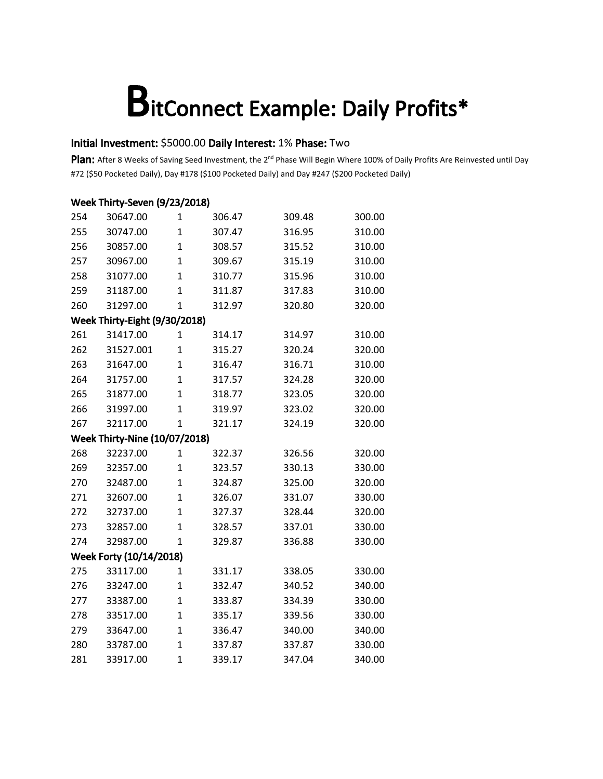### Initial Investment: \$5000.00 Daily Interest: 1% Phase: Two

|     | Week Thirty-Seven (9/23/2018)        |                |        |        |        |
|-----|--------------------------------------|----------------|--------|--------|--------|
| 254 | 30647.00                             | 1              | 306.47 | 309.48 | 300.00 |
| 255 | 30747.00                             | $\mathbf{1}$   | 307.47 | 316.95 | 310.00 |
| 256 | 30857.00                             | $\mathbf{1}$   | 308.57 | 315.52 | 310.00 |
| 257 | 30967.00                             | $\overline{1}$ | 309.67 | 315.19 | 310.00 |
| 258 | 31077.00                             | $\overline{1}$ | 310.77 | 315.96 | 310.00 |
| 259 | 31187.00                             | $\overline{1}$ | 311.87 | 317.83 | 310.00 |
| 260 | 31297.00                             | $\mathbf{1}$   | 312.97 | 320.80 | 320.00 |
|     | Week Thirty-Eight (9/30/2018)        |                |        |        |        |
| 261 | 31417.00                             | 1              | 314.17 | 314.97 | 310.00 |
| 262 | 31527.001                            | $\overline{1}$ | 315.27 | 320.24 | 320.00 |
| 263 | 31647.00                             | $\overline{1}$ | 316.47 | 316.71 | 310.00 |
| 264 | 31757.00                             | $\mathbf{1}$   | 317.57 | 324.28 | 320.00 |
| 265 | 31877.00                             | $\mathbf{1}$   | 318.77 | 323.05 | 320.00 |
| 266 | 31997.00                             | $\overline{1}$ | 319.97 | 323.02 | 320.00 |
| 267 | 32117.00                             | $\overline{1}$ | 321.17 | 324.19 | 320.00 |
|     | <b>Week Thirty-Nine (10/07/2018)</b> |                |        |        |        |
| 268 | 32237.00                             | 1              | 322.37 | 326.56 | 320.00 |
| 269 | 32357.00                             | $\mathbf{1}$   | 323.57 | 330.13 | 330.00 |
| 270 | 32487.00                             | $\overline{1}$ | 324.87 | 325.00 | 320.00 |
| 271 | 32607.00                             | $\overline{1}$ | 326.07 | 331.07 | 330.00 |
| 272 | 32737.00                             | $\overline{1}$ | 327.37 | 328.44 | 320.00 |
| 273 | 32857.00                             | $\overline{1}$ | 328.57 | 337.01 | 330.00 |
| 274 | 32987.00                             | $\overline{1}$ | 329.87 | 336.88 | 330.00 |
|     | Week Forty (10/14/2018)              |                |        |        |        |
| 275 | 33117.00                             | 1              | 331.17 | 338.05 | 330.00 |
| 276 | 33247.00                             | $\mathbf 1$    | 332.47 | 340.52 | 340.00 |
| 277 | 33387.00                             | $\overline{1}$ | 333.87 | 334.39 | 330.00 |
| 278 | 33517.00                             | $\overline{1}$ | 335.17 | 339.56 | 330.00 |
| 279 | 33647.00                             | $\mathbf{1}$   | 336.47 | 340.00 | 340.00 |
| 280 | 33787.00                             | $\overline{1}$ | 337.87 | 337.87 | 330.00 |
| 281 | 33917.00                             | $\overline{1}$ | 339.17 | 347.04 | 340.00 |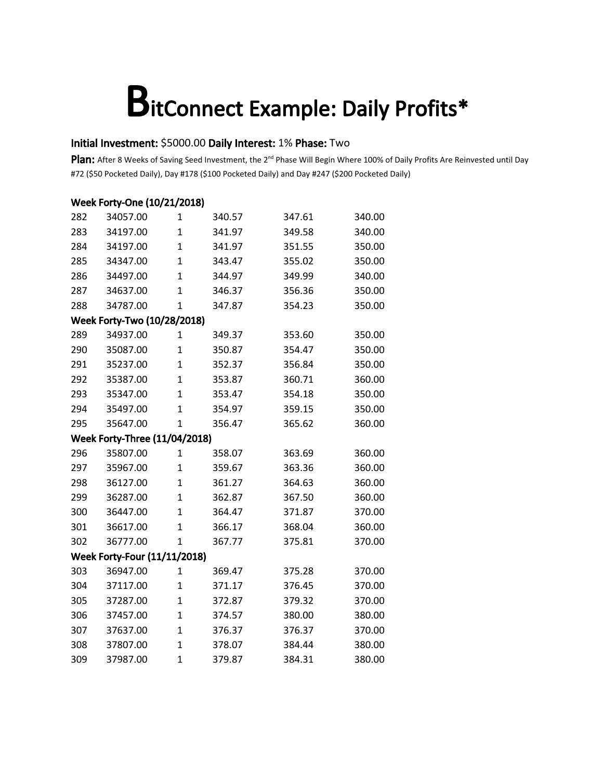### Initial Investment: \$5000.00 Daily Interest: 1% Phase: Two

| Week Forty-One (10/21/2018)         |                                      |                |        |        |        |  |  |
|-------------------------------------|--------------------------------------|----------------|--------|--------|--------|--|--|
| 282                                 | 34057.00                             | 1              | 340.57 | 347.61 | 340.00 |  |  |
| 283                                 | 34197.00                             | $\mathbf{1}$   | 341.97 | 349.58 | 340.00 |  |  |
| 284                                 | 34197.00                             | $\overline{1}$ | 341.97 | 351.55 | 350.00 |  |  |
| 285                                 | 34347.00                             | $\mathbf{1}$   | 343.47 | 355.02 | 350.00 |  |  |
| 286                                 | 34497.00                             | $\overline{1}$ | 344.97 | 349.99 | 340.00 |  |  |
| 287                                 | 34637.00                             | $\overline{1}$ | 346.37 | 356.36 | 350.00 |  |  |
| 288                                 | 34787.00                             | $\overline{1}$ | 347.87 | 354.23 | 350.00 |  |  |
|                                     | Week Forty-Two (10/28/2018)          |                |        |        |        |  |  |
| 289                                 | 34937.00                             | 1              | 349.37 | 353.60 | 350.00 |  |  |
| 290                                 | 35087.00                             | $\mathbf{1}$   | 350.87 | 354.47 | 350.00 |  |  |
| 291                                 | 35237.00                             | $\mathbf{1}$   | 352.37 | 356.84 | 350.00 |  |  |
| 292                                 | 35387.00                             | $\mathbf{1}$   | 353.87 | 360.71 | 360.00 |  |  |
| 293                                 | 35347.00                             | $\mathbf{1}$   | 353.47 | 354.18 | 350.00 |  |  |
| 294                                 | 35497.00                             | $\overline{1}$ | 354.97 | 359.15 | 350.00 |  |  |
| 295                                 | 35647.00                             | $\overline{1}$ | 356.47 | 365.62 | 360.00 |  |  |
|                                     | <b>Week Forty-Three (11/04/2018)</b> |                |        |        |        |  |  |
| 296                                 | 35807.00                             | 1              | 358.07 | 363.69 | 360.00 |  |  |
| 297                                 | 35967.00                             | $\mathbf{1}$   | 359.67 | 363.36 | 360.00 |  |  |
| 298                                 | 36127.00                             | $\overline{1}$ | 361.27 | 364.63 | 360.00 |  |  |
| 299                                 | 36287.00                             | $\mathbf{1}$   | 362.87 | 367.50 | 360.00 |  |  |
| 300                                 | 36447.00                             | $\overline{1}$ | 364.47 | 371.87 | 370.00 |  |  |
| 301                                 | 36617.00                             | $\mathbf{1}$   | 366.17 | 368.04 | 360.00 |  |  |
| 302                                 | 36777.00                             | $\mathbf{1}$   | 367.77 | 375.81 | 370.00 |  |  |
| <b>Week Forty-Four (11/11/2018)</b> |                                      |                |        |        |        |  |  |
| 303                                 | 36947.00                             | $\mathbf{1}$   | 369.47 | 375.28 | 370.00 |  |  |
| 304                                 | 37117.00                             | $\mathbf{1}$   | 371.17 | 376.45 | 370.00 |  |  |
| 305                                 | 37287.00                             | $\overline{1}$ | 372.87 | 379.32 | 370.00 |  |  |
| 306                                 | 37457.00                             | $\overline{1}$ | 374.57 | 380.00 | 380.00 |  |  |
| 307                                 | 37637.00                             | $\mathbf{1}$   | 376.37 | 376.37 | 370.00 |  |  |
| 308                                 | 37807.00                             | $\overline{1}$ | 378.07 | 384.44 | 380.00 |  |  |
| 309                                 | 37987.00                             | 1              | 379.87 | 384.31 | 380.00 |  |  |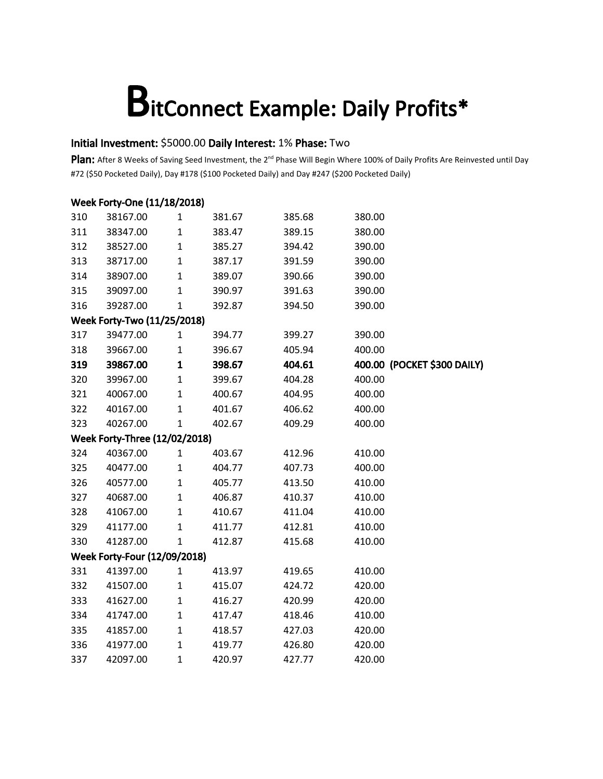### Initial Investment: \$5000.00 Daily Interest: 1% Phase: Two

| Week Forty-One (11/18/2018)  |                                      |              |        |        |                             |  |  |  |  |
|------------------------------|--------------------------------------|--------------|--------|--------|-----------------------------|--|--|--|--|
| 310                          | 38167.00                             | 1            | 381.67 | 385.68 | 380.00                      |  |  |  |  |
| 311                          | 38347.00                             | $\mathbf 1$  | 383.47 | 389.15 | 380.00                      |  |  |  |  |
| 312                          | 38527.00                             | $\mathbf 1$  | 385.27 | 394.42 | 390.00                      |  |  |  |  |
| 313                          | 38717.00                             | $\mathbf{1}$ | 387.17 | 391.59 | 390.00                      |  |  |  |  |
| 314                          | 38907.00                             | $\mathbf{1}$ | 389.07 | 390.66 | 390.00                      |  |  |  |  |
| 315                          | 39097.00                             | 1            | 390.97 | 391.63 | 390.00                      |  |  |  |  |
| 316                          | 39287.00                             | $\mathbf{1}$ | 392.87 | 394.50 | 390.00                      |  |  |  |  |
| Week Forty-Two (11/25/2018)  |                                      |              |        |        |                             |  |  |  |  |
| 317                          | 39477.00                             | $\mathbf{1}$ | 394.77 | 399.27 | 390.00                      |  |  |  |  |
| 318                          | 39667.00                             | $\mathbf 1$  | 396.67 | 405.94 | 400.00                      |  |  |  |  |
| 319                          | 39867.00                             | $\mathbf 1$  | 398.67 | 404.61 | 400.00 (POCKET \$300 DAILY) |  |  |  |  |
| 320                          | 39967.00                             | $\mathbf 1$  | 399.67 | 404.28 | 400.00                      |  |  |  |  |
| 321                          | 40067.00                             | $\mathbf{1}$ | 400.67 | 404.95 | 400.00                      |  |  |  |  |
| 322                          | 40167.00                             | $\mathbf 1$  | 401.67 | 406.62 | 400.00                      |  |  |  |  |
| 323                          | 40267.00                             | $\mathbf{1}$ | 402.67 | 409.29 | 400.00                      |  |  |  |  |
|                              | <b>Week Forty-Three (12/02/2018)</b> |              |        |        |                             |  |  |  |  |
| 324                          | 40367.00                             | $\mathbf{1}$ | 403.67 | 412.96 | 410.00                      |  |  |  |  |
| 325                          | 40477.00                             | $\mathbf 1$  | 404.77 | 407.73 | 400.00                      |  |  |  |  |
| 326                          | 40577.00                             | $\mathbf{1}$ | 405.77 | 413.50 | 410.00                      |  |  |  |  |
| 327                          | 40687.00                             | $\mathbf 1$  | 406.87 | 410.37 | 410.00                      |  |  |  |  |
| 328                          | 41067.00                             | $\mathbf 1$  | 410.67 | 411.04 | 410.00                      |  |  |  |  |
| 329                          | 41177.00                             | $\mathbf{1}$ | 411.77 | 412.81 | 410.00                      |  |  |  |  |
| 330                          | 41287.00                             | $\mathbf{1}$ | 412.87 | 415.68 | 410.00                      |  |  |  |  |
| Week Forty-Four (12/09/2018) |                                      |              |        |        |                             |  |  |  |  |
| 331                          | 41397.00                             | $\mathbf{1}$ | 413.97 | 419.65 | 410.00                      |  |  |  |  |
| 332                          | 41507.00                             | $\mathbf 1$  | 415.07 | 424.72 | 420.00                      |  |  |  |  |
| 333                          | 41627.00                             | $\mathbf 1$  | 416.27 | 420.99 | 420.00                      |  |  |  |  |
| 334                          | 41747.00                             | $\mathbf 1$  | 417.47 | 418.46 | 410.00                      |  |  |  |  |
| 335                          | 41857.00                             | $\mathbf 1$  | 418.57 | 427.03 | 420.00                      |  |  |  |  |
| 336                          | 41977.00                             | $\mathbf{1}$ | 419.77 | 426.80 | 420.00                      |  |  |  |  |
| 337                          | 42097.00                             | $\mathbf{1}$ | 420.97 | 427.77 | 420.00                      |  |  |  |  |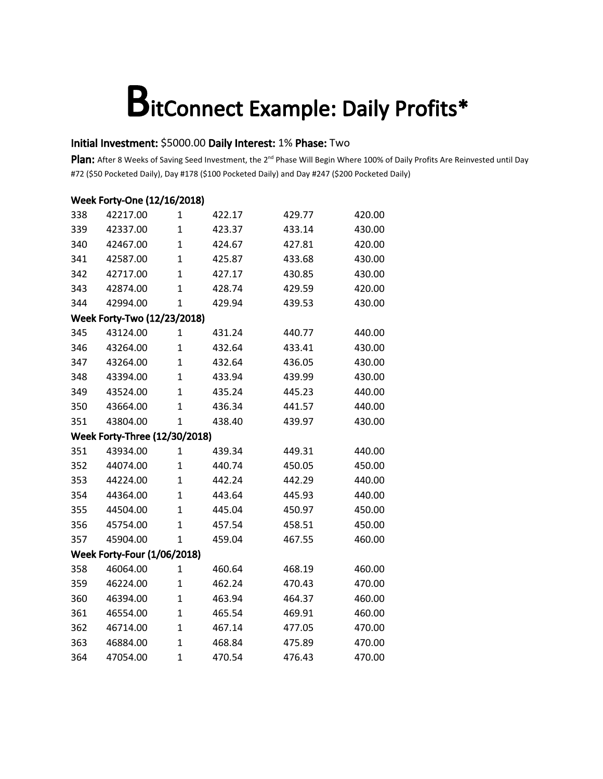### Initial Investment: \$5000.00 Daily Interest: 1% Phase: Two

| Week Forty-One (12/16/2018)        |                                      |                |        |        |        |  |  |
|------------------------------------|--------------------------------------|----------------|--------|--------|--------|--|--|
| 338                                | 42217.00                             | 1              | 422.17 | 429.77 | 420.00 |  |  |
| 339                                | 42337.00                             | $\mathbf{1}$   | 423.37 | 433.14 | 430.00 |  |  |
| 340                                | 42467.00                             | $\overline{1}$ | 424.67 | 427.81 | 420.00 |  |  |
| 341                                | 42587.00                             | $\overline{1}$ | 425.87 | 433.68 | 430.00 |  |  |
| 342                                | 42717.00                             | $\overline{1}$ | 427.17 | 430.85 | 430.00 |  |  |
| 343                                | 42874.00                             | $\overline{1}$ | 428.74 | 429.59 | 420.00 |  |  |
| 344                                | 42994.00                             | $\mathbf 1$    | 429.94 | 439.53 | 430.00 |  |  |
|                                    | Week Forty-Two (12/23/2018)          |                |        |        |        |  |  |
| 345                                | 43124.00                             | 1              | 431.24 | 440.77 | 440.00 |  |  |
| 346                                | 43264.00                             | $\mathbf{1}$   | 432.64 | 433.41 | 430.00 |  |  |
| 347                                | 43264.00                             | $\overline{1}$ | 432.64 | 436.05 | 430.00 |  |  |
| 348                                | 43394.00                             | $\overline{1}$ | 433.94 | 439.99 | 430.00 |  |  |
| 349                                | 43524.00                             | $\mathbf{1}$   | 435.24 | 445.23 | 440.00 |  |  |
| 350                                | 43664.00                             | $\overline{1}$ | 436.34 | 441.57 | 440.00 |  |  |
| 351                                | 43804.00                             | $\overline{1}$ | 438.40 | 439.97 | 430.00 |  |  |
|                                    | <b>Week Forty-Three (12/30/2018)</b> |                |        |        |        |  |  |
| 351                                | 43934.00                             | 1              | 439.34 | 449.31 | 440.00 |  |  |
| 352                                | 44074.00                             | $\mathbf{1}$   | 440.74 | 450.05 | 450.00 |  |  |
| 353                                | 44224.00                             | $\overline{1}$ | 442.24 | 442.29 | 440.00 |  |  |
| 354                                | 44364.00                             | $\mathbf{1}$   | 443.64 | 445.93 | 440.00 |  |  |
| 355                                | 44504.00                             | $\overline{1}$ | 445.04 | 450.97 | 450.00 |  |  |
| 356                                | 45754.00                             | $\overline{1}$ | 457.54 | 458.51 | 450.00 |  |  |
| 357                                | 45904.00                             | $\mathbf{1}$   | 459.04 | 467.55 | 460.00 |  |  |
| <b>Week Forty-Four (1/06/2018)</b> |                                      |                |        |        |        |  |  |
| 358                                | 46064.00                             | $\mathbf{1}$   | 460.64 | 468.19 | 460.00 |  |  |
| 359                                | 46224.00                             | $\mathbf{1}$   | 462.24 | 470.43 | 470.00 |  |  |
| 360                                | 46394.00                             | $\overline{1}$ | 463.94 | 464.37 | 460.00 |  |  |
| 361                                | 46554.00                             | $\overline{1}$ | 465.54 | 469.91 | 460.00 |  |  |
| 362                                | 46714.00                             | $\overline{1}$ | 467.14 | 477.05 | 470.00 |  |  |
| 363                                | 46884.00                             | $\overline{1}$ | 468.84 | 475.89 | 470.00 |  |  |
| 364                                | 47054.00                             | $\overline{1}$ | 470.54 | 476.43 | 470.00 |  |  |